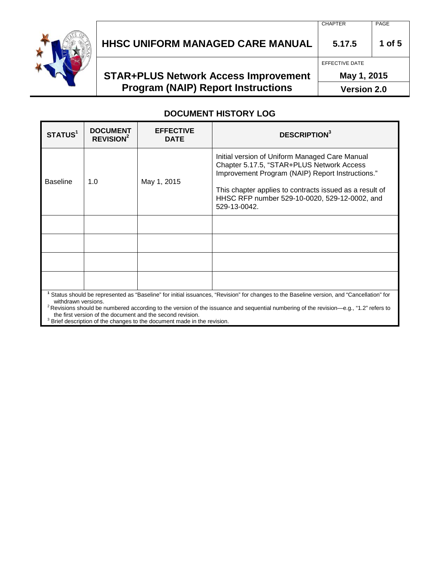

# **HHSC UNIFORM MANAGED CARE MANUAL 5.17.5 1 of 5**

## **STAR+PLUS Network Access Improvement Program (NAIP) Report Instructions**

EFFECTIVE DATE

**May 1, 2015**

**Version 2.0**

#### **DOCUMENT HISTORY LOG**

| STATUS <sup>1</sup>                                                                                                                                                                                                                                                                                          | <b>DOCUMENT</b><br>REVISION <sup>2</sup> | <b>EFFECTIVE</b><br><b>DATE</b> | <b>DESCRIPTION3</b>                                                                                                                                                                                                                                                         |  |  |
|--------------------------------------------------------------------------------------------------------------------------------------------------------------------------------------------------------------------------------------------------------------------------------------------------------------|------------------------------------------|---------------------------------|-----------------------------------------------------------------------------------------------------------------------------------------------------------------------------------------------------------------------------------------------------------------------------|--|--|
| <b>Baseline</b>                                                                                                                                                                                                                                                                                              | 1.0                                      | May 1, 2015                     | Initial version of Uniform Managed Care Manual<br>Chapter 5.17.5, "STAR+PLUS Network Access<br>Improvement Program (NAIP) Report Instructions."<br>This chapter applies to contracts issued as a result of<br>HHSC RFP number 529-10-0020, 529-12-0002, and<br>529-13-0042. |  |  |
|                                                                                                                                                                                                                                                                                                              |                                          |                                 |                                                                                                                                                                                                                                                                             |  |  |
|                                                                                                                                                                                                                                                                                                              |                                          |                                 |                                                                                                                                                                                                                                                                             |  |  |
|                                                                                                                                                                                                                                                                                                              |                                          |                                 |                                                                                                                                                                                                                                                                             |  |  |
|                                                                                                                                                                                                                                                                                                              |                                          |                                 |                                                                                                                                                                                                                                                                             |  |  |
| Status should be represented as "Baseline" for initial issuances, "Revision" for changes to the Baseline version, and "Cancellation" for<br>withdrawn versions.<br>$2^2$ Revisions should be numbered according to the version of the issuance and sequential numbering of the revision—e g. "1.2" refers to |                                          |                                 |                                                                                                                                                                                                                                                                             |  |  |

kevisions should be numbered according to the version of the issuance and sequential numbering of the revision—e.g., "1.2" refers to<br>the first version of the document and the second revision.

<sup>3</sup> Brief description of the changes to the document made in the revision.

CHAPTER PAGE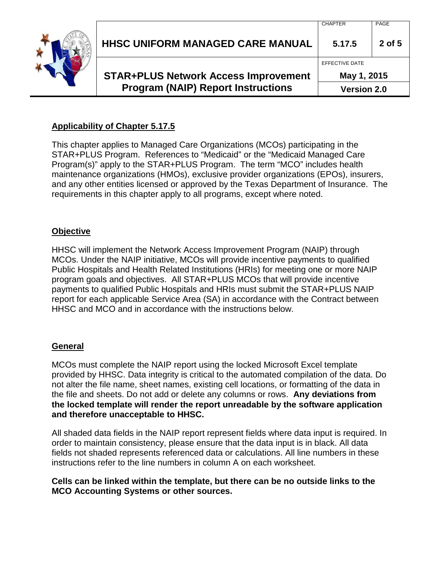| <b>Program (NAIP) Report Instructions</b>   | <b>Version 2.0</b> |        |
|---------------------------------------------|--------------------|--------|
| <b>STAR+PLUS Network Access Improvement</b> | May 1, 2015        |        |
|                                             | EFFECTIVE DATE     |        |
| <b>HHSC UNIFORM MANAGED CARE MANUAL</b>     | 5.17.5             | 2 of 5 |
|                                             | CHAPTER            | PAGE   |

## **Applicability of Chapter 5.17.5**

This chapter applies to Managed Care Organizations (MCOs) participating in the STAR+PLUS Program. References to "Medicaid" or the "Medicaid Managed Care Program(s)" apply to the STAR+PLUS Program. The term "MCO" includes health maintenance organizations (HMOs), exclusive provider organizations (EPOs), insurers, and any other entities licensed or approved by the Texas Department of Insurance. The requirements in this chapter apply to all programs, except where noted.

#### **Objective**

HHSC will implement the Network Access Improvement Program (NAIP) through MCOs. Under the NAIP initiative, MCOs will provide incentive payments to qualified Public Hospitals and Health Related Institutions (HRIs) for meeting one or more NAIP program goals and objectives. All STAR+PLUS MCOs that will provide incentive payments to qualified Public Hospitals and HRIs must submit the STAR+PLUS NAIP report for each applicable Service Area (SA) in accordance with the Contract between HHSC and MCO and in accordance with the instructions below.

## **General**

MCOs must complete the NAIP report using the locked Microsoft Excel template provided by HHSC. Data integrity is critical to the automated compilation of the data. Do not alter the file name, sheet names, existing cell locations, or formatting of the data in the file and sheets. Do not add or delete any columns or rows. **Any deviations from the locked template will render the report unreadable by the software application and therefore unacceptable to HHSC.**

All shaded data fields in the NAIP report represent fields where data input is required. In order to maintain consistency, please ensure that the data input is in black. All data fields not shaded represents referenced data or calculations. All line numbers in these instructions refer to the line numbers in column A on each worksheet.

#### **Cells can be linked within the template, but there can be no outside links to the MCO Accounting Systems or other sources.**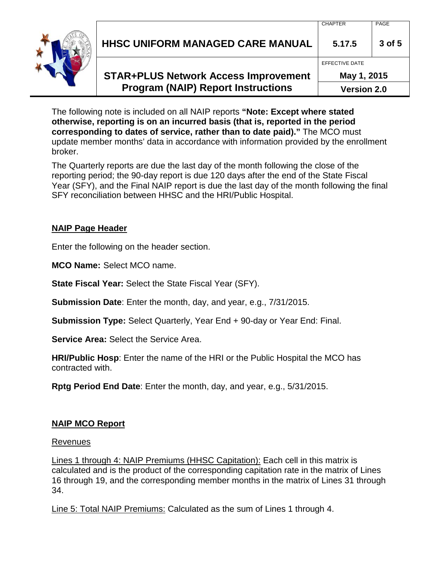|  | HHSC UNIFORM MANAGED CARE MANUAL            | V117111<br>5.17.5  | . השת<br>3 of 5 |
|--|---------------------------------------------|--------------------|-----------------|
|  |                                             | EFFECTIVE DATE     |                 |
|  | <b>STAR+PLUS Network Access Improvement</b> | May 1, 2015        |                 |
|  | <b>Program (NAIP) Report Instructions</b>   | <b>Version 2.0</b> |                 |

**Version 2.0**

The following note is included on all NAIP reports **"Note: Except where stated otherwise, reporting is on an incurred basis (that is, reported in the period corresponding to dates of service, rather than to date paid)."** The MCO must update member months' data in accordance with information provided by the enrollment broker.

The Quarterly reports are due the last day of the month following the close of the reporting period; the 90-day report is due 120 days after the end of the State Fiscal Year (SFY), and the Final NAIP report is due the last day of the month following the final SFY reconciliation between HHSC and the HRI/Public Hospital.

## **NAIP Page Header**

Enter the following on the header section.

**MCO Name:** Select MCO name.

**State Fiscal Year:** Select the State Fiscal Year (SFY).

**Submission Date**: Enter the month, day, and year, e.g., 7/31/2015.

**Submission Type:** Select Quarterly, Year End + 90-day or Year End: Final.

**Service Area:** Select the Service Area.

**HRI/Public Hosp**: Enter the name of the HRI or the Public Hospital the MCO has contracted with.

**Rptg Period End Date**: Enter the month, day, and year, e.g., 5/31/2015.

## **NAIP MCO Report**

## Revenues

Lines 1 through 4: NAIP Premiums (HHSC Capitation): Each cell in this matrix is calculated and is the product of the corresponding capitation rate in the matrix of Lines 16 through 19, and the corresponding member months in the matrix of Lines 31 through 34.

Line 5: Total NAIP Premiums: Calculated as the sum of Lines 1 through 4.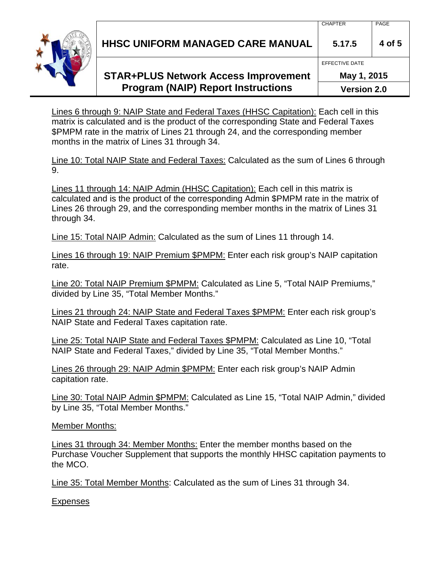**HHSC UNIFORM MANAGED CARE MANUAL 5.17.5 4 of 5**

## **STAR+PLUS Network Access Improvement Program (NAIP) Report Instructions**

**May 1, 2015 Version 2.0**

Lines 6 through 9: NAIP State and Federal Taxes (HHSC Capitation): Each cell in this matrix is calculated and is the product of the corresponding State and Federal Taxes \$PMPM rate in the matrix of Lines 21 through 24, and the corresponding member months in the matrix of Lines 31 through 34.

Line 10: Total NAIP State and Federal Taxes: Calculated as the sum of Lines 6 through 9.

Lines 11 through 14: NAIP Admin (HHSC Capitation): Each cell in this matrix is calculated and is the product of the corresponding Admin \$PMPM rate in the matrix of Lines 26 through 29, and the corresponding member months in the matrix of Lines 31 through 34.

Line 15: Total NAIP Admin: Calculated as the sum of Lines 11 through 14.

Lines 16 through 19: NAIP Premium \$PMPM: Enter each risk group's NAIP capitation rate.

Line 20: Total NAIP Premium \$PMPM: Calculated as Line 5, "Total NAIP Premiums," divided by Line 35, "Total Member Months."

Lines 21 through 24: NAIP State and Federal Taxes \$PMPM: Enter each risk group's NAIP State and Federal Taxes capitation rate.

Line 25: Total NAIP State and Federal Taxes \$PMPM: Calculated as Line 10, "Total NAIP State and Federal Taxes," divided by Line 35, "Total Member Months."

Lines 26 through 29: NAIP Admin \$PMPM: Enter each risk group's NAIP Admin capitation rate.

Line 30: Total NAIP Admin \$PMPM: Calculated as Line 15, "Total NAIP Admin," divided by Line 35, "Total Member Months."

Member Months:

Lines 31 through 34: Member Months: Enter the member months based on the Purchase Voucher Supplement that supports the monthly HHSC capitation payments to the MCO.

Line 35: Total Member Months: Calculated as the sum of Lines 31 through 34.

**Expenses** 



EFFECTIVE DATE